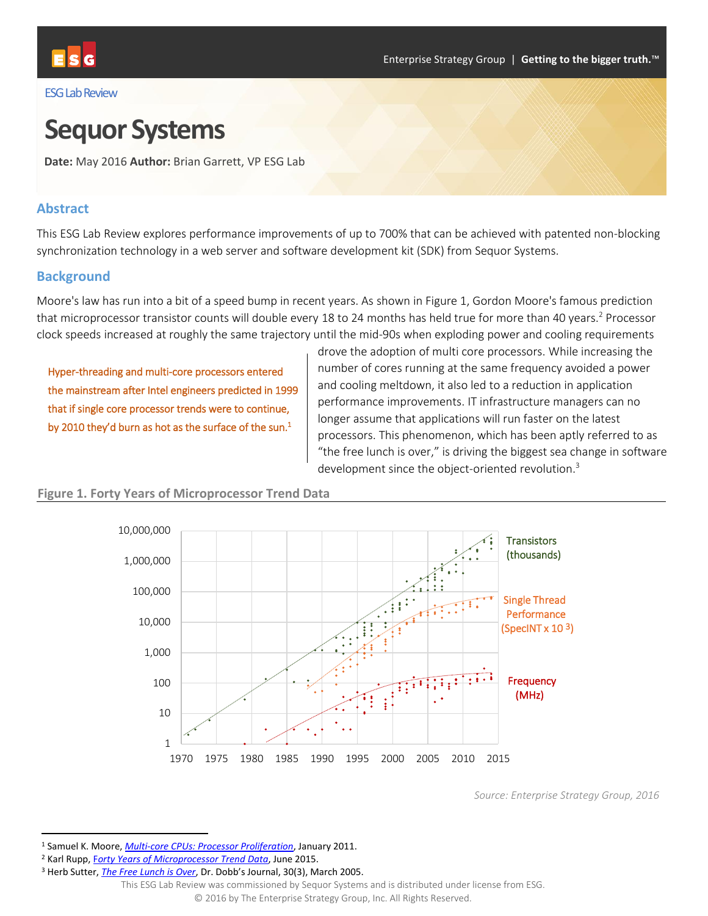

#### ESG Lab Review

# **Sequor Systems**

**Date:** May 2016 **Author:** Brian Garrett, VP ESG Lab

#### **Abstract**

This ESG Lab Review explores performance improvements of up to 700% that can be achieved with patented non-blocking synchronization technology in a web server and software development kit (SDK) from Sequor Systems.

#### **Background**

Moore's law has run into a bit of a speed bump in recent years. As shown in [Figure 1,](#page-0-0) Gordon Moore's famous prediction that microprocessor transistor counts will double every 18 to 24 months has held true for more than 40 years.<sup>2</sup> Processor clock speeds increased at roughly the same trajectory until the mid-90s when exploding power and cooling requirements

Hyper-threading and multi-core processors entered the mainstream after Intel engineers predicted in 1999 that if single core processor trends were to continue, by 2010 they'd burn as hot as the surface of the sun.<sup>1</sup>

drove the adoption of multi core processors. While increasing the number of cores running at the same frequency avoided a power and cooling meltdown, it also led to a reduction in application performance improvements. IT infrastructure managers can no longer assume that applications will run faster on the latest processors. This phenomenon, which has been aptly referred to as "the free lunch is over," is driving the biggest sea change in software development since the object-oriented revolution.<sup>3</sup>



#### <span id="page-0-0"></span>**Figure 1. Forty Years of Microprocessor Trend Data**

 $\overline{\phantom{a}}$ 

*Source: Enterprise Strategy Group, 2016*

<sup>1</sup> Samuel K. Moore, *[Multi-core CPUs: Processor Proliferation](http://www.ann.ece.ufl.edu/courses/eel4713_12spr/articles/Multicore_CPUs_Processor_Proliferation-IEEE_Spectrum.pdf)*, January 2011.

<sup>2</sup> Karl Rupp, F*[orty Years of Microprocessor Trend Data](http://www.karlrupp.net/2015/06/40-years-of-microprocessor-trend-data/)*, June 2015.

<sup>3</sup> Herb Sutter, *[The Free Lunch is Over](http://www.gotw.ca/publications/concurrency-ddj.htm)*, Dr. Dobb's Journal, 30(3), March 2005.

This ESG Lab Review was commissioned by Sequor Systems and is distributed under license from ESG.

<sup>© 2016</sup> by The Enterprise Strategy Group, Inc. All Rights Reserved.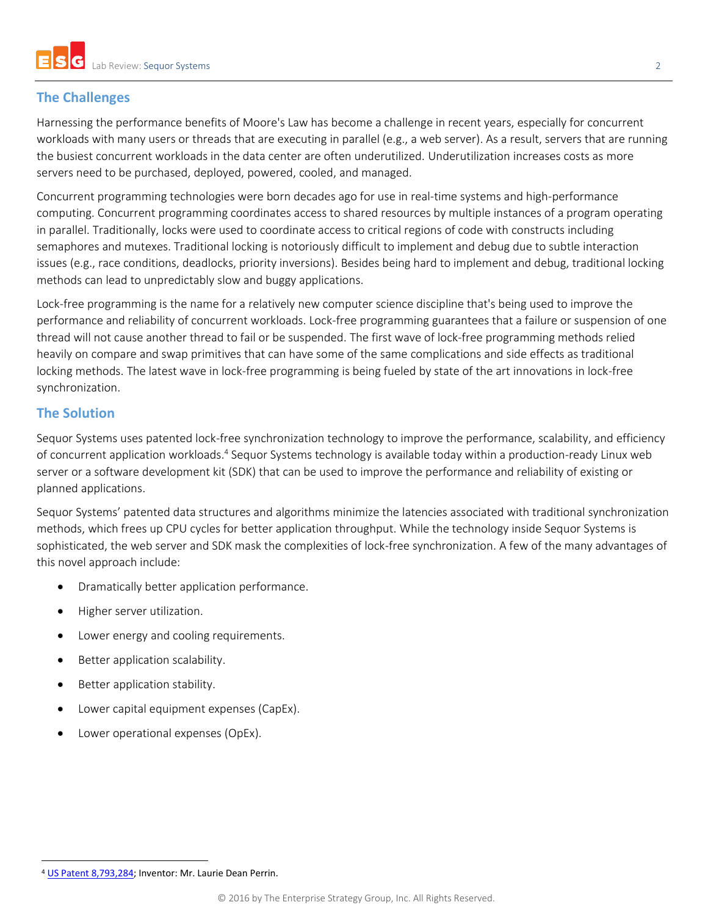# **The Challenges**

Harnessing the performance benefits of Moore's Law has become a challenge in recent years, especially for concurrent workloads with many users or threads that are executing in parallel (e.g., a web server). As a result, servers that are running the busiest concurrent workloads in the data center are often underutilized. Underutilization increases costs as more servers need to be purchased, deployed, powered, cooled, and managed.

Concurrent programming technologies were born decades ago for use in real-time systems and high-performance computing. Concurrent programming coordinates access to shared resources by multiple instances of a program operating in parallel. Traditionally, locks were used to coordinate access to critical regions of code with constructs including semaphores and mutexes. Traditional locking is notoriously difficult to implement and debug due to subtle interaction issues (e.g., race conditions, deadlocks, priority inversions). Besides being hard to implement and debug, traditional locking methods can lead to unpredictably slow and buggy applications.

Lock-free programming is the name for a relatively new computer science discipline that's being used to improve the performance and reliability of concurrent workloads. Lock-free programming guarantees that a failure or suspension of one thread will not cause another thread to fail or be suspended. The first wave of lock-free programming methods relied heavily on compare and swap primitives that can have some of the same complications and side effects as traditional locking methods. The latest wave in lock-free programming is being fueled by state of the art innovations in lock-free synchronization.

# **The Solution**

Sequor Systems uses patented lock-free synchronization technology to improve the performance, scalability, and efficiency of concurrent application workloads.<sup>4</sup> Sequor Systems technology is available today within a production-ready Linux web server or a software development kit (SDK) that can be used to improve the performance and reliability of existing or planned applications.

Sequor Systems' patented data structures and algorithms minimize the latencies associated with traditional synchronization methods, which frees up CPU cycles for better application throughput. While the technology inside Sequor Systems is sophisticated, the web server and SDK mask the complexities of lock-free synchronization. A few of the many advantages of this novel approach include:

- Dramatically better application performance.
- Higher server utilization.
- Lower energy and cooling requirements.
- Better application scalability.
- Better application stability.
- Lower capital equipment expenses (CapEx).
- Lower operational expenses (OpEx).

 $\overline{a}$ <sup>4</sup> [US Patent 8,793,284;](http://patft.uspto.gov/netacgi/nph-Parser?Sect1=PTO2&Sect2=HITOFF&p=1&u=%2Fnetahtml%2FPTO%2Fsearch-bool.html&r=1&f=G&l=50&co1=AND&d=PTXT&s1=8793284.PN.&OS=PN/8793284&RS=PN/8793284) Inventor: Mr. Laurie Dean Perrin.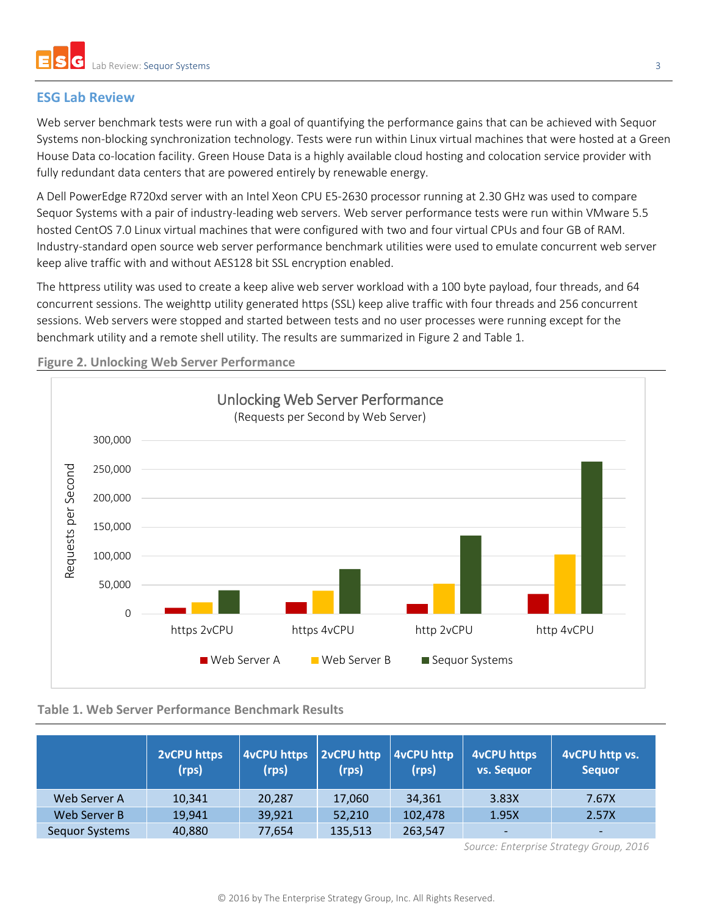# **ESG Lab Review**

Web server benchmark tests were run with a goal of quantifying the performance gains that can be achieved with Sequor Systems non-blocking synchronization technology. Tests were run within Linux virtual machines that were hosted at a Green House Data co-location facility. Green House Data is a highly available cloud hosting and colocation service provider with fully redundant data centers that are powered entirely by renewable energy.

A Dell PowerEdge R720xd server with an Intel Xeon CPU E5-2630 processor running at 2.30 GHz was used to compare Sequor Systems with a pair of industry-leading web servers. Web server performance tests were run within VMware 5.5 hosted CentOS 7.0 Linux virtual machines that were configured with two and four virtual CPUs and four GB of RAM. Industry-standard open source web server performance benchmark utilities were used to emulate concurrent web server keep alive traffic with and without AES128 bit SSL encryption enabled.

The httpress utility was used to create a keep alive web server workload with a 100 byte payload, four threads, and 64 concurrent sessions. The weighttp utility generated https (SSL) keep alive traffic with four threads and 256 concurrent sessions. Web servers were stopped and started between tests and no user processes were running except for the benchmark utility and a remote shell utility. The results are summarized i[n Figure 2](#page-2-0) and [Table 1.](#page-2-1)



<span id="page-2-0"></span>**Figure 2. Unlocking Web Server Performance**

## <span id="page-2-1"></span>**Table 1. Web Server Performance Benchmark Results**

|                       | <b>2vCPU https</b><br>(rps) | <b>4vCPU https</b><br>(rps) | 2vCPU http<br>(rps) | 4vCPU http<br>(rps) | 4vCPU https<br>vs. Sequor | 4vCPU http vs.<br><b>Sequor</b> |
|-----------------------|-----------------------------|-----------------------------|---------------------|---------------------|---------------------------|---------------------------------|
| Web Server A          | 10,341                      | 20,287                      | 17,060              | 34,361              | 3.83X                     | 7.67X                           |
| Web Server B          | 19,941                      | 39,921                      | 52,210              | 102,478             | 1.95X                     | 2.57X                           |
| <b>Sequor Systems</b> | 40,880                      | 77,654                      | 135,513             | 263,547             | $\overline{\phantom{a}}$  | $\overline{\phantom{0}}$        |

*Source: Enterprise Strategy Group, 2016*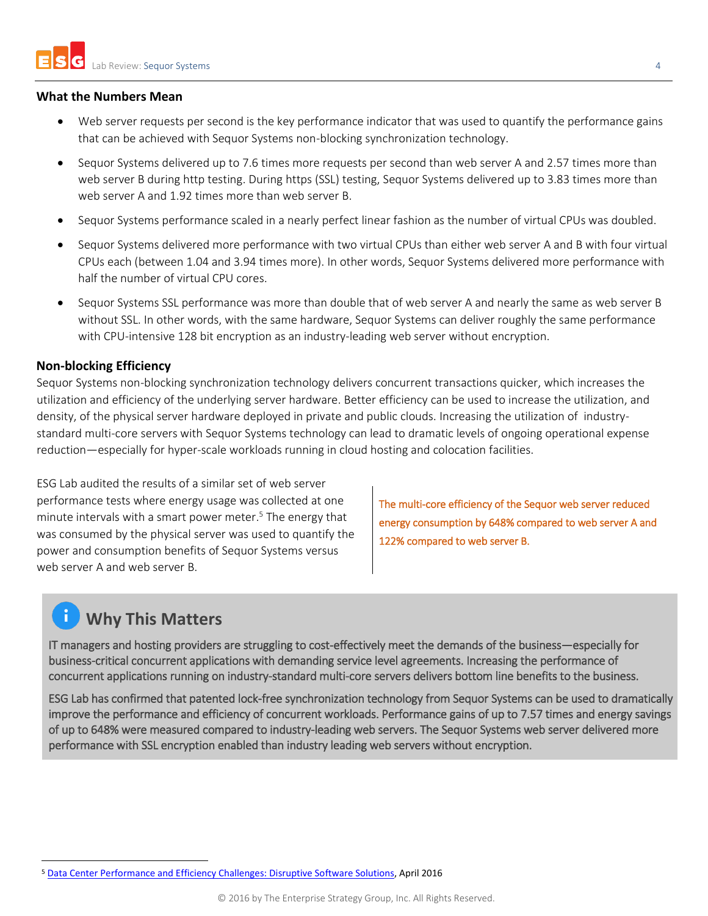#### **What the Numbers Mean**

- Web server requests per second is the key performance indicator that was used to quantify the performance gains that can be achieved with Sequor Systems non-blocking synchronization technology.
- Sequor Systems delivered up to 7.6 times more requests per second than web server A and 2.57 times more than web server B during http testing. During https (SSL) testing, Sequor Systems delivered up to 3.83 times more than web server A and 1.92 times more than web server B.
- Sequor Systems performance scaled in a nearly perfect linear fashion as the number of virtual CPUs was doubled.
- Sequor Systems delivered more performance with two virtual CPUs than either web server A and B with four virtual CPUs each (between 1.04 and 3.94 times more). In other words, Sequor Systems delivered more performance with half the number of virtual CPU cores.
- Sequor Systems SSL performance was more than double that of web server A and nearly the same as web server B without SSL. In other words, with the same hardware, Sequor Systems can deliver roughly the same performance with CPU-intensive 128 bit encryption as an industry-leading web server without encryption.

### **Non-blocking Efficiency**

Sequor Systems non-blocking synchronization technology delivers concurrent transactions quicker, which increases the utilization and efficiency of the underlying server hardware. Better efficiency can be used to increase the utilization, and density, of the physical server hardware deployed in private and public clouds. Increasing the utilization of industrystandard multi-core servers with Sequor Systems technology can lead to dramatic levels of ongoing operational expense reduction—especially for hyper-scale workloads running in cloud hosting and colocation facilities.

ESG Lab audited the results of a similar set of web server performance tests where energy usage was collected at one minute intervals with a smart power meter. <sup>5</sup> The energy that was consumed by the physical server was used to quantify the power and consumption benefits of Sequor Systems versus web server A and web server B.

The multi-core efficiency of the Sequor web server reduced energy consumption by 648% compared to web server A and 122% compared to web server B.

# **Why This Matters**

 $\overline{a}$ 

IT managers and hosting providers are struggling to cost-effectively meet the demands of the business—especially for business-critical concurrent applications with demanding service level agreements. Increasing the performance of concurrent applications running on industry-standard multi-core servers delivers bottom line benefits to the business.

ESG Lab has confirmed that patented lock-free synchronization technology from Sequor Systems can be used to dramatically improve the performance and efficiency of concurrent workloads. Performance gains of up to 7.57 times and energy savings of up to 648% were measured compared to industry-leading web servers. The Sequor Systems web server delivered more performance with SSL encryption enabled than industry leading web servers without encryption.

<sup>5</sup> [Data Center Performance and Efficiency Challenges: Disruptive Software Solutions,](http://www.sequorsystems.com/download/Data%20Center%20Performance%20and%20Efficiency%20Challenges%20-%20Disruptive%20Software%20Solutions.pdf) April 2016